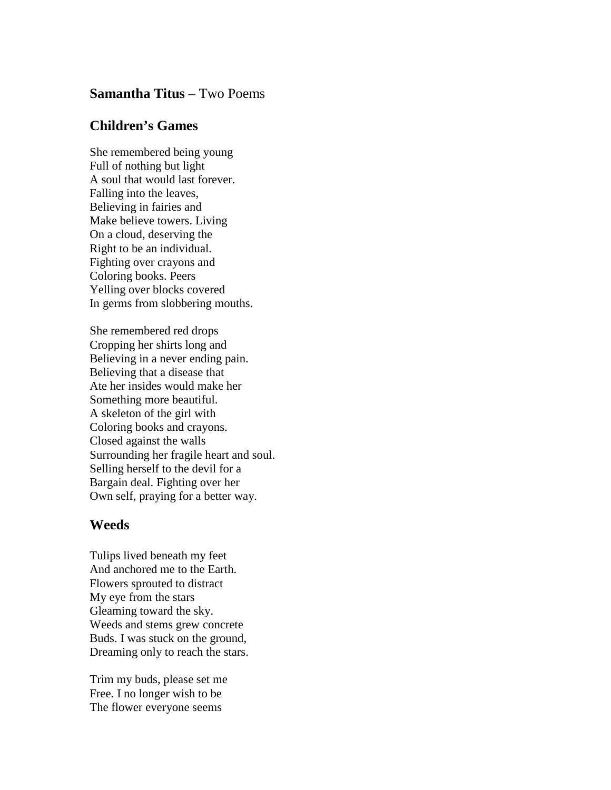## **Samantha Titus** – Two Poems

## **Children's Games**

She remembered being young Full of nothing but light A soul that would last forever. Falling into the leaves, Believing in fairies and Make believe towers. Living On a cloud, deserving the Right to be an individual. Fighting over crayons and Coloring books. Peers Yelling over blocks covered In germs from slobbering mouths.

She remembered red drops Cropping her shirts long and Believing in a never ending pain. Believing that a disease that Ate her insides would make her Something more beautiful. A skeleton of the girl with Coloring books and crayons. Closed against the walls Surrounding her fragile heart and soul. Selling herself to the devil for a Bargain deal. Fighting over her Own self, praying for a better way.

## **Weeds**

Tulips lived beneath my feet And anchored me to the Earth. Flowers sprouted to distract My eye from the stars Gleaming toward the sky. Weeds and stems grew concrete Buds. I was stuck on the ground, Dreaming only to reach the stars.

Trim my buds, please set me Free. I no longer wish to be The flower everyone seems